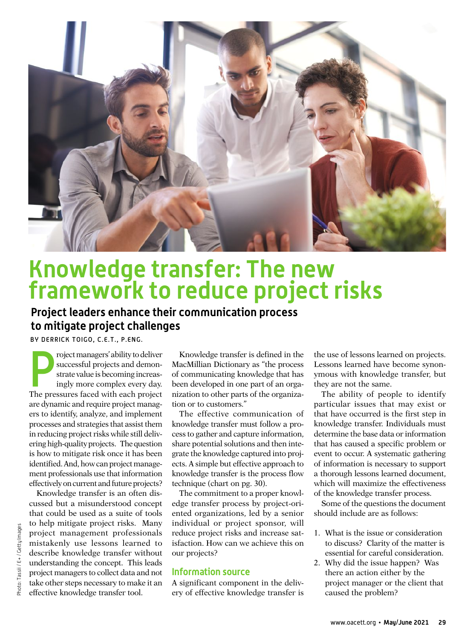

# **Knowledge transfer: The new framework to reduce project risks**

## **Project leaders enhance their communication process to mitigate project challenges**

BY DERRICK TOIGO, C.E.T., P.ENG.

roject managers' ability to deliver<br>successful projects and demon-<br>strate value is becoming increas-<br>ingly more complex every day.<br>The pressures faced with each project roject managers' ability to deliver successful projects and demonstrate value is becoming increasingly more complex every day. are dynamic and require project managers to identify, analyze, and implement processes and strategies that assist them in reducing project risks while still delivering high-quality projects. The question is how to mitigate risk once it has been identified. And, how can project management professionals use that information effectively on current and future projects?

Knowledge transfer is an often discussed but a misunderstood concept that could be used as a suite of tools to help mitigate project risks. Many project management professionals mistakenly use lessons learned to describe knowledge transfer without understanding the concept. This leads project managers to collect data and not take other steps necessary to make it an effective knowledge transfer tool.

Knowledge transfer is defined in the MacMillian Dictionary as "the process of communicating knowledge that has been developed in one part of an organization to other parts of the organization or to customers."

The effective communication of knowledge transfer must follow a process to gather and capture information, share potential solutions and then integrate the knowledge captured into projects. A simple but effective approach to knowledge transfer is the process flow technique (chart on pg. 30).

The commitment to a proper knowledge transfer process by project-oriented organizations, led by a senior individual or project sponsor, will reduce project risks and increase satisfaction. How can we achieve this on our projects?

### **Information source**

A significant component in the delivery of effective knowledge transfer is

the use of lessons learned on projects. Lessons learned have become synonymous with knowledge transfer, but they are not the same.

The ability of people to identify particular issues that may exist or that have occurred is the first step in knowledge transfer. Individuals must determine the base data or information that has caused a specific problem or event to occur. A systematic gathering of information is necessary to support a thorough lessons learned document, which will maximize the effectiveness of the knowledge transfer process.

Some of the questions the document should include are as follows:

- 1. What is the issue or consideration to discuss? Clarity of the matter is essential for careful consideration.
- 2. Why did the issue happen? Was there an action either by the project manager or the client that caused the problem?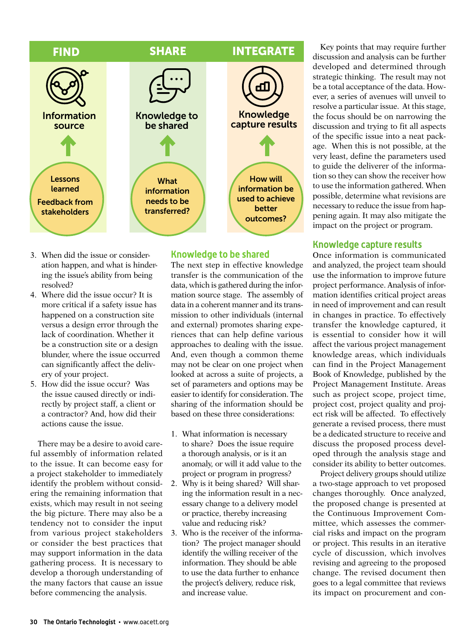

- 3. When did the issue or consideration happen, and what is hindering the issue's ability from being resolved?
- 4. Where did the issue occur? It is more critical if a safety issue has happened on a construction site versus a design error through the lack of coordination. Whether it be a construction site or a design blunder, where the issue occurred can significantly affect the delivery of your project.
- 5. How did the issue occur? Was the issue caused directly or indirectly by project staff, a client or a contractor? And, how did their actions cause the issue.

There may be a desire to avoid careful assembly of information related to the issue. It can become easy for a project stakeholder to immediately identify the problem without considering the remaining information that exists, which may result in not seeing the big picture. There may also be a tendency not to consider the input from various project stakeholders or consider the best practices that may support information in the data gathering process. It is necessary to develop a thorough understanding of the many factors that cause an issue before commencing the analysis.

The next step in effective knowledge transfer is the communication of the data, which is gathered during the information source stage. The assembly of data in a coherent manner and its transmission to other individuals (internal and external) promotes sharing experiences that can help define various approaches to dealing with the issue. And, even though a common theme may not be clear on one project when looked at across a suite of projects, a set of parameters and options may be easier to identify for consideration. The sharing of the information should be based on these three considerations:

**Knowledge to be shared**

- 1. What information is necessary to share? Does the issue require a thorough analysis, or is it an anomaly, or will it add value to the project or program in progress?
- 2. Why is it being shared? Will sharing the information result in a necessary change to a delivery model or practice, thereby increasing value and reducing risk?
- 3. Who is the receiver of the information? The project manager should identify the willing receiver of the information. They should be able to use the data further to enhance the project's delivery, reduce risk, and increase value.

Key points that may require further discussion and analysis can be further developed and determined through strategic thinking. The result may not be a total acceptance of the data. However, a series of avenues will unveil to resolve a particular issue. At this stage, the focus should be on narrowing the discussion and trying to fit all aspects of the specific issue into a neat package. When this is not possible, at the very least, define the parameters used to guide the deliverer of the information so they can show the receiver how to use the information gathered. When possible, determine what revisions are necessary to reduce the issue from happening again. It may also mitigate the impact on the project or program.

### **Knowledge capture results**

Once information is communicated and analyzed, the project team should use the information to improve future project performance. Analysis of information identifies critical project areas in need of improvement and can result in changes in practice. To effectively transfer the knowledge captured, it is essential to consider how it will affect the various project management knowledge areas, which individuals can find in the Project Management Book of Knowledge, published by the Project Management Institute. Areas such as project scope, project time, project cost, project quality and project risk will be affected. To effectively generate a revised process, there must be a dedicated structure to receive and discuss the proposed process developed through the analysis stage and consider its ability to better outcomes.

Project delivery groups should utilize a two-stage approach to vet proposed changes thoroughly. Once analyzed, the proposed change is presented at the Continuous Improvement Committee, which assesses the commercial risks and impact on the program or project. This results in an iterative cycle of discussion, which involves revising and agreeing to the proposed change. The revised document then goes to a legal committee that reviews its impact on procurement and con-